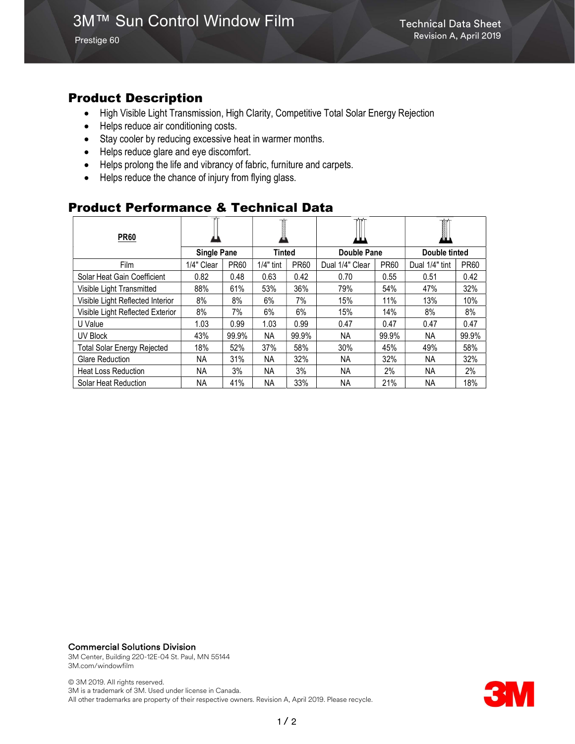Prestige 60

## Product Description

- High Visible Light Transmission, High Clarity, Competitive Total Solar Energy Rejection
- Helps reduce air conditioning costs.
- Stay cooler by reducing excessive heat in warmer months.
- Helps reduce glare and eye discomfort.
- Helps prolong the life and vibrancy of fabric, furniture and carpets.
- Helps reduce the chance of injury from flying glass.

### Product Performance & Technical Data

| <b>PR60</b>                        |                    |             |             |             | ш               |             | øц             |             |
|------------------------------------|--------------------|-------------|-------------|-------------|-----------------|-------------|----------------|-------------|
|                                    | <b>Single Pane</b> |             | Tinted      |             | Double Pane     |             | Double tinted  |             |
| <b>Film</b>                        | 1/4" Clear         | <b>PR60</b> | $1/4"$ tint | <b>PR60</b> | Dual 1/4" Clear | <b>PR60</b> | Dual 1/4" tint | <b>PR60</b> |
| Solar Heat Gain Coefficient        | 0.82               | 0.48        | 0.63        | 0.42        | 0.70            | 0.55        | 0.51           | 0.42        |
| Visible Light Transmitted          | 88%                | 61%         | 53%         | 36%         | 79%             | 54%         | 47%            | 32%         |
| Visible Light Reflected Interior   | 8%                 | 8%          | 6%          | 7%          | 15%             | 11%         | 13%            | 10%         |
| Visible Light Reflected Exterior   | 8%                 | 7%          | 6%          | 6%          | 15%             | 14%         | 8%             | 8%          |
| U Value                            | 1.03               | 0.99        | 1.03        | 0.99        | 0.47            | 0.47        | 0.47           | 0.47        |
| UV Block                           | 43%                | 99.9%       | NA.         | 99.9%       | NА              | 99.9%       | NA.            | 99.9%       |
| <b>Total Solar Energy Rejected</b> | 18%                | 52%         | 37%         | 58%         | 30%             | 45%         | 49%            | 58%         |
| <b>Glare Reduction</b>             | NA.                | 31%         | ΝA          | 32%         | NА              | 32%         | NA.            | 32%         |
| <b>Heat Loss Reduction</b>         | NA.                | 3%          | NA          | 3%          | NА              | 2%          | NA.            | 2%          |
| Solar Heat Reduction               | NA.                | 41%         | NA          | 33%         | ΝA              | 21%         | NA.            | 18%         |

#### Commercial Solutions Division

3M Center, Building 220-12E-04 St. Paul, MN 55144 3M.com/windowfilm

© 3M 2019. All rights reserved. 3M is a trademark of 3M. Used under license in Canada. All other trademarks are property of their respective owners. Revision A, April 2019. Please recycle.